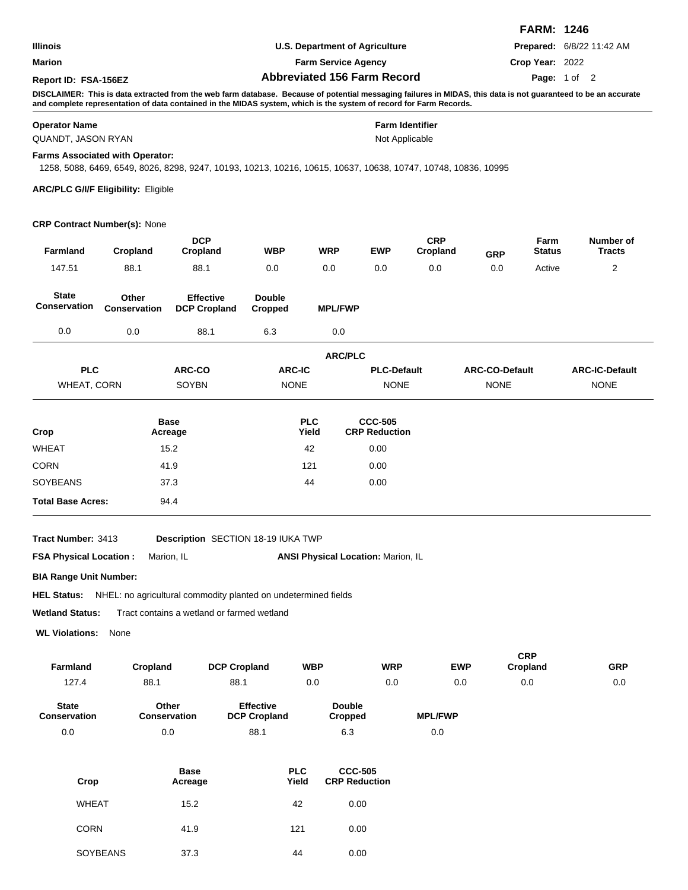|                                     |                                            |                                                                                                                                                                                                                                                                                      |                                         |                                       |                                        |                        |                       | <b>FARM: 1246</b>      |                            |
|-------------------------------------|--------------------------------------------|--------------------------------------------------------------------------------------------------------------------------------------------------------------------------------------------------------------------------------------------------------------------------------------|-----------------------------------------|---------------------------------------|----------------------------------------|------------------------|-----------------------|------------------------|----------------------------|
| Illinois                            |                                            |                                                                                                                                                                                                                                                                                      |                                         | <b>U.S. Department of Agriculture</b> |                                        |                        |                       |                        | Prepared: 6/8/22 11:42 AM  |
| Marion                              |                                            |                                                                                                                                                                                                                                                                                      | <b>Farm Service Agency</b>              |                                       |                                        |                        |                       | Crop Year: 2022        |                            |
| Report ID: FSA-156EZ                |                                            |                                                                                                                                                                                                                                                                                      |                                         | <b>Abbreviated 156 Farm Record</b>    |                                        |                        |                       |                        | Page: 1 of 2               |
|                                     |                                            | DISCLAIMER: This is data extracted from the web farm database. Because of potential messaging failures in MIDAS, this data is not guaranteed to be an accurate<br>and complete representation of data contained in the MIDAS system, which is the system of record for Farm Records. |                                         |                                       |                                        |                        |                       |                        |                            |
| <b>Operator Name</b>                |                                            |                                                                                                                                                                                                                                                                                      |                                         |                                       | <b>Farm Identifier</b>                 |                        |                       |                        |                            |
| QUANDT, JASON RYAN                  |                                            |                                                                                                                                                                                                                                                                                      |                                         |                                       | Not Applicable                         |                        |                       |                        |                            |
|                                     | Farms Associated with Operator:            | 1258, 5088, 6469, 6549, 8026, 8298, 9247, 10193, 10213, 10216, 10615, 10637, 10638, 10747, 10748, 10836, 10995                                                                                                                                                                       |                                         |                                       |                                        |                        |                       |                        |                            |
|                                     | <b>ARC/PLC G/I/F Eligibility: Eligible</b> |                                                                                                                                                                                                                                                                                      |                                         |                                       |                                        |                        |                       |                        |                            |
|                                     | CRP Contract Number(s): None               |                                                                                                                                                                                                                                                                                      |                                         |                                       |                                        |                        |                       |                        |                            |
| Farmland                            | Cropland                                   | <b>DCP</b><br>Cropland                                                                                                                                                                                                                                                               | <b>WBP</b>                              | WRP                                   | <b>EWP</b>                             | <b>CRP</b><br>Cropland | <b>GRP</b>            | Farm<br><b>Status</b>  | Number of<br><b>Tracts</b> |
| 147.51                              | 88.1                                       | 88.1                                                                                                                                                                                                                                                                                 | 0.0                                     | 0.0                                   | 0.0                                    | 0.0                    | 0.0                   | Active                 | 2                          |
| <b>State</b><br><b>Conservation</b> | Other<br><b>Conservation</b>               | <b>Effective</b><br><b>DCP Cropland</b>                                                                                                                                                                                                                                              | <b>Double</b><br>Cropped                | <b>MPL/FWP</b>                        |                                        |                        |                       |                        |                            |
| 0.0                                 | 0.0                                        | 88.1                                                                                                                                                                                                                                                                                 | 6.3                                     | 0.0                                   |                                        |                        |                       |                        |                            |
|                                     |                                            |                                                                                                                                                                                                                                                                                      |                                         | <b>ARC/PLC</b>                        |                                        |                        |                       |                        |                            |
| <b>PLC</b>                          |                                            | <b>ARC-CO</b>                                                                                                                                                                                                                                                                        | <b>ARC-IC</b>                           |                                       | <b>PLC-Default</b>                     |                        | <b>ARC-CO-Default</b> |                        | <b>ARC-IC-Default</b>      |
| <b>WHEAT, CORN</b>                  |                                            | SOYBN                                                                                                                                                                                                                                                                                | <b>NONE</b>                             |                                       | <b>NONE</b>                            |                        | <b>NONE</b>           |                        | <b>NONE</b>                |
| Crop                                |                                            | <b>Base</b><br>Acreage                                                                                                                                                                                                                                                               |                                         | <b>PLC</b><br>Yield                   | <b>CCC-505</b><br><b>CRP Reduction</b> |                        |                       |                        |                            |
| WHEAT                               |                                            | 15.2                                                                                                                                                                                                                                                                                 |                                         | 42                                    | 0.00                                   |                        |                       |                        |                            |
| CORN                                |                                            | 41.9                                                                                                                                                                                                                                                                                 |                                         | 121                                   | 0.00                                   |                        |                       |                        |                            |
| SOYBEANS                            |                                            | 37.3                                                                                                                                                                                                                                                                                 |                                         | 44                                    | 0.00                                   |                        |                       |                        |                            |
| <b>Total Base Acres:</b>            |                                            | 94.4                                                                                                                                                                                                                                                                                 |                                         |                                       |                                        |                        |                       |                        |                            |
| Tract Number: 3413                  |                                            | Description SECTION 18-19 IUKA TWP                                                                                                                                                                                                                                                   |                                         |                                       |                                        |                        |                       |                        |                            |
| <b>FSA Physical Location:</b>       |                                            | Marion, IL                                                                                                                                                                                                                                                                           |                                         | ANSI Physical Location: Marion, IL    |                                        |                        |                       |                        |                            |
| <b>BIA Range Unit Number:</b>       |                                            |                                                                                                                                                                                                                                                                                      |                                         |                                       |                                        |                        |                       |                        |                            |
|                                     |                                            | HEL Status: NHEL: no agricultural commodity planted on undetermined fields                                                                                                                                                                                                           |                                         |                                       |                                        |                        |                       |                        |                            |
| <b>Wetland Status:</b>              |                                            | Tract contains a wetland or farmed wetland                                                                                                                                                                                                                                           |                                         |                                       |                                        |                        |                       |                        |                            |
| <b>WL Violations:</b>               | None                                       |                                                                                                                                                                                                                                                                                      |                                         |                                       |                                        |                        |                       |                        |                            |
| Farmland                            | Cropland                                   | <b>DCP Cropland</b>                                                                                                                                                                                                                                                                  |                                         | WBP                                   | <b>WRP</b>                             | EWP                    |                       | <b>CRP</b><br>Cropland | <b>GRP</b>                 |
| 127.4                               | 88.1                                       | 88.1                                                                                                                                                                                                                                                                                 |                                         | 0.0                                   | 0.0                                    | 0.0                    |                       | 0.0                    | 0.0                        |
| State<br>Conservation               |                                            | Other<br>Conservation                                                                                                                                                                                                                                                                | <b>Effective</b><br><b>DCP Cropland</b> | <b>Double</b><br><b>Cropped</b>       |                                        | <b>MPL/FWP</b>         |                       |                        |                            |

0.0

| Crop            | <b>Base</b><br>Acreage | <b>PLC</b><br>Yield | <b>CCC-505</b><br><b>CRP Reduction</b> |
|-----------------|------------------------|---------------------|----------------------------------------|
| <b>WHEAT</b>    | 15.2                   | 42                  | 0.00                                   |
| <b>CORN</b>     | 41.9                   | 121                 | 0.00                                   |
| <b>SOYBEANS</b> | 37.3                   | 44                  | 0.00                                   |

88.1

0.0 0.0 88.1 6.3